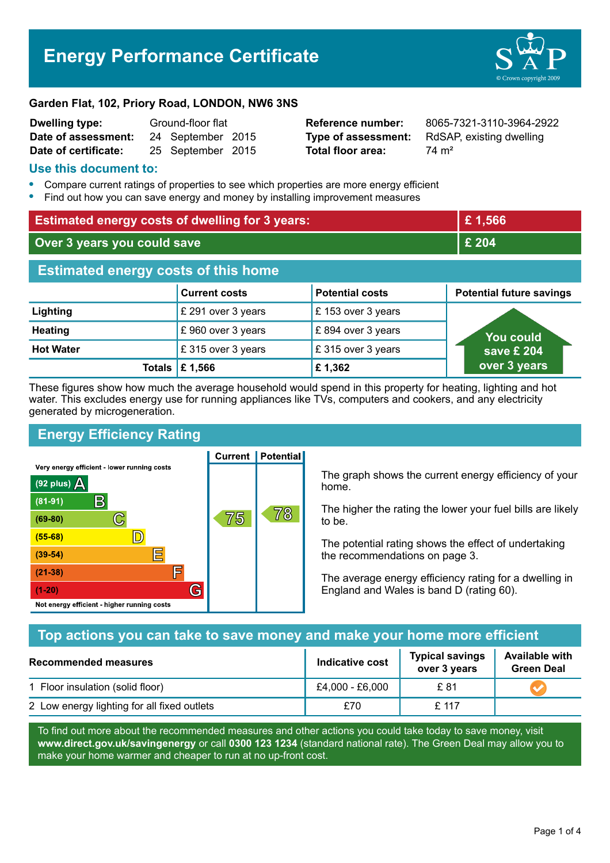# **Energy Performance Certificate**



#### **Garden Flat, 102, Priory Road, LONDON, NW6 3NS**

| <b>Dwelling type:</b> | Ground-floor flat |                   |  |
|-----------------------|-------------------|-------------------|--|
| Date of assessment:   |                   | 24 September 2015 |  |
| Date of certificate:  |                   | 25 September 2015 |  |

**Total floor area:** 74 m<sup>2</sup>

**Reference number:** 8065-7321-3110-3964-2922 **Type of assessment:** RdSAP, existing dwelling

#### **Use this document to:**

- **•** Compare current ratings of properties to see which properties are more energy efficient
- **•** Find out how you can save energy and money by installing improvement measures

| <b>Estimated energy costs of dwelling for 3 years:</b> |                                 |                        | £1,566                          |  |
|--------------------------------------------------------|---------------------------------|------------------------|---------------------------------|--|
| Over 3 years you could save                            |                                 | £ 204                  |                                 |  |
| <b>Estimated energy costs of this home</b>             |                                 |                        |                                 |  |
|                                                        | <b>Current costs</b>            | <b>Potential costs</b> | <b>Potential future savings</b> |  |
| Lighting                                               | £ 291 over 3 years              | £153 over 3 years      |                                 |  |
| <b>Heating</b>                                         | £960 over 3 years               | £894 over 3 years      | <b>You could</b>                |  |
| <b>Hot Water</b>                                       | £315 over 3 years               | £315 over 3 years      | save £ 204                      |  |
|                                                        | Totals $\mathbf \epsilon$ 1,566 | £1,362                 | over 3 years                    |  |

These figures show how much the average household would spend in this property for heating, lighting and hot water. This excludes energy use for running appliances like TVs, computers and cookers, and any electricity generated by microgeneration.

# **Energy Efficiency Rating**

Very energy efficient - lower running costs



**Current | Potential** 

The graph shows the current energy efficiency of your home.

The higher the rating the lower your fuel bills are likely to be.

The potential rating shows the effect of undertaking the recommendations on page 3.

The average energy efficiency rating for a dwelling in England and Wales is band D (rating 60).

# **Top actions you can take to save money and make your home more efficient**

| Recommended measures                        | Indicative cost | <b>Typical savings</b><br>over 3 years | <b>Available with</b><br><b>Green Deal</b> |
|---------------------------------------------|-----------------|----------------------------------------|--------------------------------------------|
| 1 Floor insulation (solid floor)            | £4,000 - £6,000 | £ 81                                   |                                            |
| 2 Low energy lighting for all fixed outlets | £70             | £ 117                                  |                                            |

To find out more about the recommended measures and other actions you could take today to save money, visit **www.direct.gov.uk/savingenergy** or call **0300 123 1234** (standard national rate). The Green Deal may allow you to make your home warmer and cheaper to run at no up-front cost.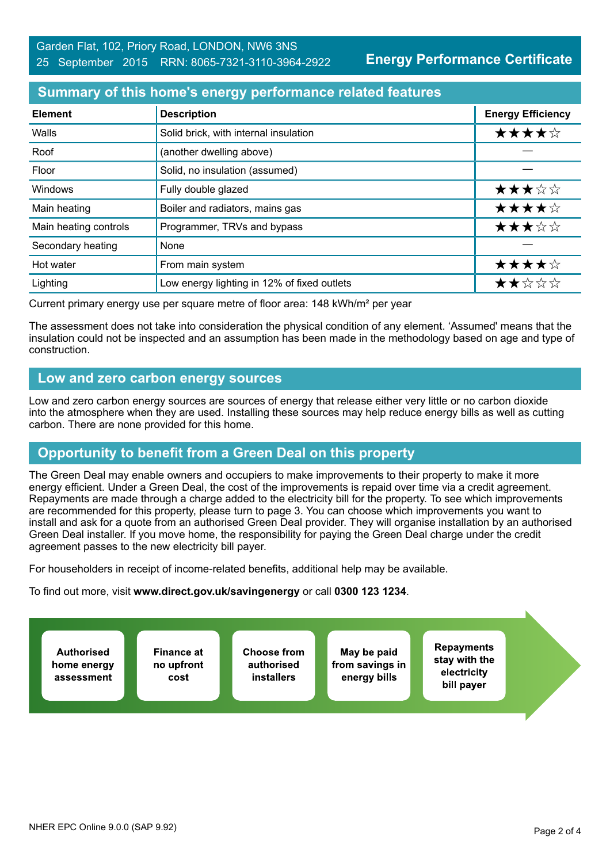**Energy Performance Certificate**

#### **Summary of this home's energy performance related features**

| <b>Element</b>        | <b>Description</b>                          | <b>Energy Efficiency</b> |
|-----------------------|---------------------------------------------|--------------------------|
| Walls                 | Solid brick, with internal insulation       | ★★★★☆                    |
| Roof                  | (another dwelling above)                    |                          |
| Floor                 | Solid, no insulation (assumed)              |                          |
| Windows               | Fully double glazed                         | ★★★☆☆                    |
| Main heating          | Boiler and radiators, mains gas             | ★★★★☆                    |
| Main heating controls | Programmer, TRVs and bypass                 | ★★★☆☆                    |
| Secondary heating     | None                                        |                          |
| Hot water             | From main system                            | ★★★★☆                    |
| Lighting              | Low energy lighting in 12% of fixed outlets | ★★☆☆☆                    |

Current primary energy use per square metre of floor area: 148 kWh/m² per year

The assessment does not take into consideration the physical condition of any element. 'Assumed' means that the insulation could not be inspected and an assumption has been made in the methodology based on age and type of construction.

#### **Low and zero carbon energy sources**

Low and zero carbon energy sources are sources of energy that release either very little or no carbon dioxide into the atmosphere when they are used. Installing these sources may help reduce energy bills as well as cutting carbon. There are none provided for this home.

## **Opportunity to benefit from a Green Deal on this property**

The Green Deal may enable owners and occupiers to make improvements to their property to make it more energy efficient. Under a Green Deal, the cost of the improvements is repaid over time via a credit agreement. Repayments are made through a charge added to the electricity bill for the property. To see which improvements are recommended for this property, please turn to page 3. You can choose which improvements you want to install and ask for a quote from an authorised Green Deal provider. They will organise installation by an authorised Green Deal installer. If you move home, the responsibility for paying the Green Deal charge under the credit agreement passes to the new electricity bill payer.

For householders in receipt of income-related benefits, additional help may be available.

To find out more, visit **www.direct.gov.uk/savingenergy** or call **0300 123 1234**.

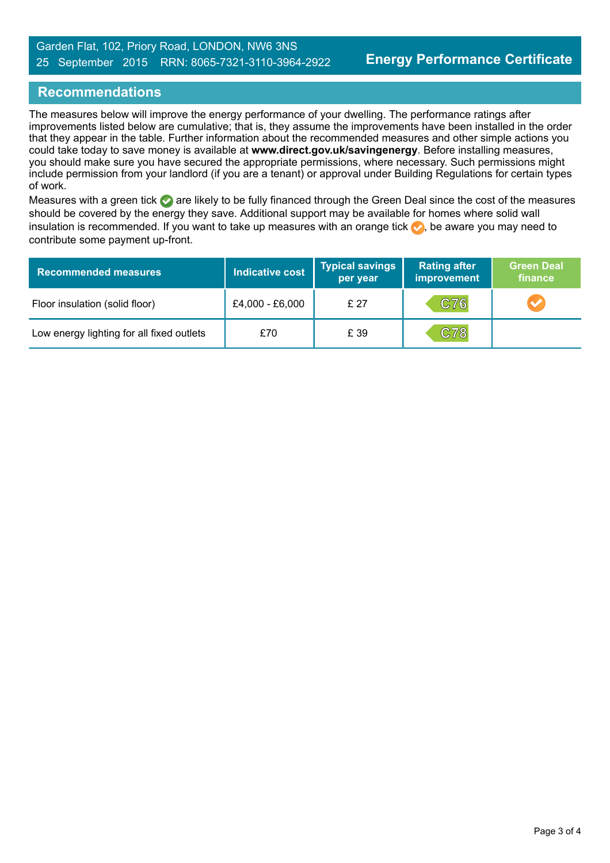## **Recommendations**

The measures below will improve the energy performance of your dwelling. The performance ratings after improvements listed below are cumulative; that is, they assume the improvements have been installed in the order that they appear in the table. Further information about the recommended measures and other simple actions you could take today to save money is available at **www.direct.gov.uk/savingenergy**. Before installing measures, you should make sure you have secured the appropriate permissions, where necessary. Such permissions might include permission from your landlord (if you are a tenant) or approval under Building Regulations for certain types of work.

Measures with a green tick are likely to be fully financed through the Green Deal since the cost of the measures should be covered by the energy they save. Additional support may be available for homes where solid wall insulation is recommended. If you want to take up measures with an orange tick  $\bullet$ , be aware you may need to contribute some payment up-front.

| <b>Recommended measures</b>               | <b>Indicative cost</b> | <b>Typical savings</b><br>per year | <b>Rating after</b><br>improvement | <b>Green Deal</b><br>finance |
|-------------------------------------------|------------------------|------------------------------------|------------------------------------|------------------------------|
| Floor insulation (solid floor)            | £4,000 - £6,000        | £ 27                               | C76                                |                              |
| Low energy lighting for all fixed outlets | £70                    | £ 39                               | C78                                |                              |